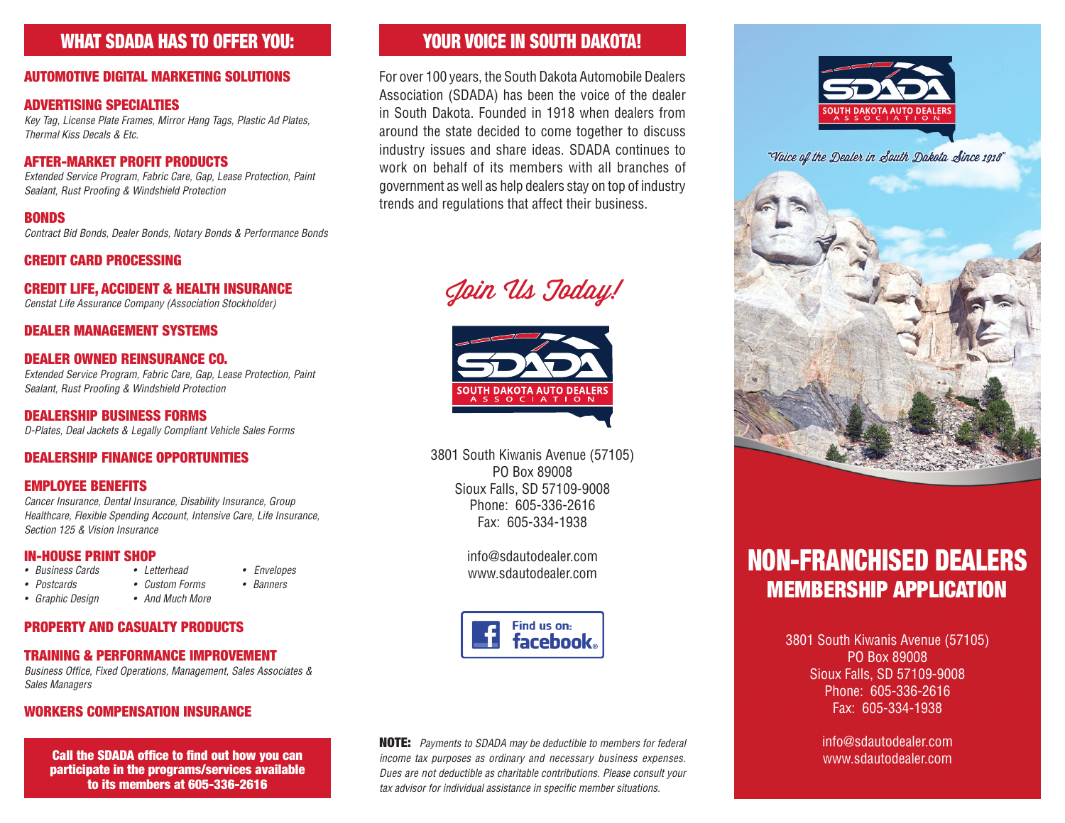## WHAT SDADA HAS TO OFFER YOU:

#### AUTOMOTIVE DIGITAL MARKETING SOLUTIONS

#### ADVERTISING SPECIALTIES

*Key Tag, License Plate Frames, Mirror Hang Tags, Plastic Ad Plates, Thermal Kiss Decals & Etc.*

#### AFTER-MARKET PROFIT PRODUCTS

*Extended Service Program, Fabric Care, Gap, Lease Protection, Paint Sealant, Rust Proofing & Windshield Protection*

#### BONDS

*Contract Bid Bonds, Dealer Bonds, Notary Bonds & Performance Bonds*

#### CREDIT CARD PROCESSING

#### CREDIT LIFE, ACCIDENT & HEALTH INSURANCE

*Censtat Life Assurance Company (Association Stockholder)*

#### DEALER MANAGEMENT SYSTEMS

#### DEALER OWNED REINSURANCE CO.

*Extended Service Program, Fabric Care, Gap, Lease Protection, Paint Sealant, Rust Proofing & Windshield Protection*

DEALERSHIP BUSINESS FORMS *D-Plates, Deal Jackets & Legally Compliant Vehicle Sales Forms*

#### DEALERSHIP FINANCE OPPORTUNITIES

#### EMPLOYEE BENEFITS

*Cancer Insurance, Dental Insurance, Disability Insurance, Group Healthcare, Flexible Spending Account, Intensive Care, Life Insurance, Section 125 & Vision Insurance*

# **IN-HOUSE PRINT SHOP**<br>• Business Cards • Letterhead

- *Business Cards • Letterhead Envelopes*
- *• Postcards • Custom Forms • Banners*
- *• Graphic Design • And Much More*

#### PROPERTY AND CASUALTY PRODUCTS

#### TRAINING & PERFORMANCE IMPROVEMENT

*Business Office, Fixed Operations, Management, Sales Associates & Sales Managers*

#### WORKERS COMPENSATION INSURANCE

Call the SDADA office to find out how you can participate in the programs/services available to its members at 605-336-2616

## YOUR VOICE IN SOUTH DAKOTA!

For over 100 years, the South Dakota Automobile Dealers Association (SDADA) has been the voice of the dealer in South Dakota. Founded in 1918 when dealers from around the state decided to come together to discuss industry issues and share ideas. SDADA continues to work on behalf of its members with all branches of government as well as help dealers stay on top of industry trends and regulations that affect their business.

Join Us Today!



3801 South Kiwanis Avenue (57105) PO Box 89008 Sioux Falls, SD 57109-9008 Phone: 605-336-2616 Fax: 605-334-1938

> info@sdautodealer.com www.sdautodealer.com



NOTE: *Payments to SDADA may be deductible to members for federal income tax purposes as ordinary and necessary business expenses. Dues are not deductible as charitable contributions. Please consult your tax advisor for individual assistance in specific member situations.*



"Voice of the Dealer in South Dakota Since 1918"



# NON-FRANCHISED DEALERS MEMBERSHIP APPLICATION

3801 South Kiwanis Avenue (57105) PO Box 89008 Sioux Falls, SD 57109-9008 Phone: 605-336-2616 Fax: 605-334-1938

> info@sdautodealer.com www.sdautodealer.com